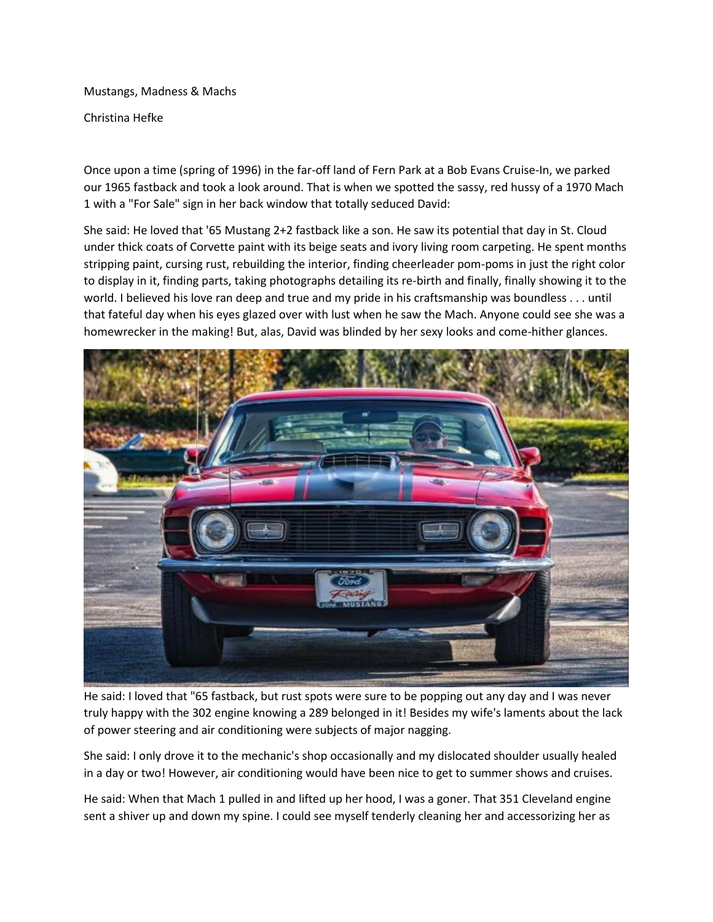Mustangs, Madness & Machs

Christina Hefke

Once upon a time (spring of 1996) in the far-off land of Fern Park at a Bob Evans Cruise-In, we parked our 1965 fastback and took a look around. That is when we spotted the sassy, red hussy of a 1970 Mach 1 with a "For Sale" sign in her back window that totally seduced David:

She said: He loved that '65 Mustang 2+2 fastback like a son. He saw its potential that day in St. Cloud under thick coats of Corvette paint with its beige seats and ivory living room carpeting. He spent months stripping paint, cursing rust, rebuilding the interior, finding cheerleader pom-poms in just the right color to display in it, finding parts, taking photographs detailing its re-birth and finally, finally showing it to the world. I believed his love ran deep and true and my pride in his craftsmanship was boundless . . . until that fateful day when his eyes glazed over with lust when he saw the Mach. Anyone could see she was a homewrecker in the making! But, alas, David was blinded by her sexy looks and come-hither glances.



He said: I loved that "65 fastback, but rust spots were sure to be popping out any day and I was never truly happy with the 302 engine knowing a 289 belonged in it! Besides my wife's laments about the lack of power steering and air conditioning were subjects of major nagging.

She said: I only drove it to the mechanic's shop occasionally and my dislocated shoulder usually healed in a day or two! However, air conditioning would have been nice to get to summer shows and cruises.

He said: When that Mach 1 pulled in and lifted up her hood, I was a goner. That 351 Cleveland engine sent a shiver up and down my spine. I could see myself tenderly cleaning her and accessorizing her as